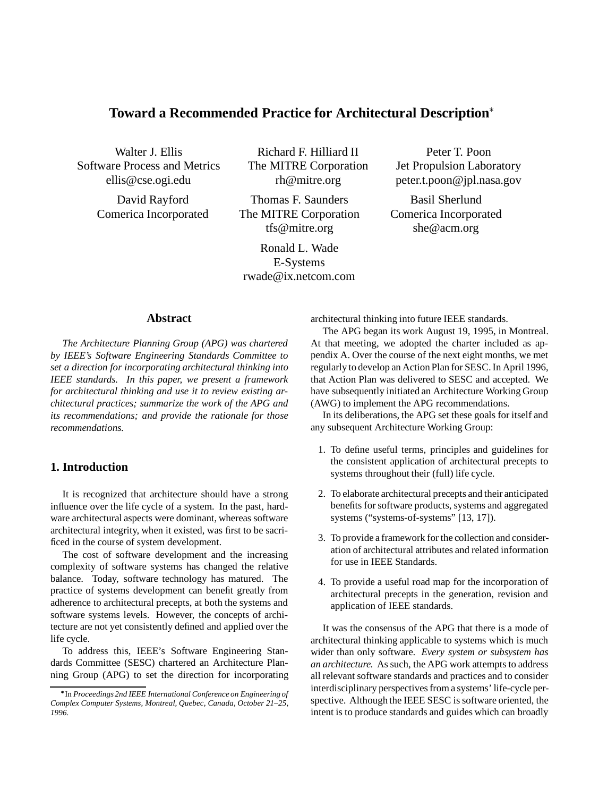# **Toward a Recommended Practice for Architectural Description**

Walter J. Ellis Software Process and Metrics ellis@cse.ogi.edu

> David Rayford Comerica Incorporated

Richard F. Hilliard II The MITRE Corporation rh@mitre.org

Thomas F. Saunders The MITRE Corporation tfs@mitre.org

Ronald L. Wade E-Systems rwade@ix.netcom.com

Peter T. Poon Jet Propulsion Laboratory peter.t.poon@jpl.nasa.gov

Basil Sherlund Comerica Incorporated she@acm.org

#### **Abstract**

*The Architecture Planning Group (APG) was chartered by IEEE's Software Engineering Standards Committee to set a direction for incorporating architectural thinking into IEEE standards. In this paper, we present a framework for architectural thinking and use it to review existing architectural practices; summarize the work of the APG and its recommendations; and provide the rationale for those recommendations.*

## **1. Introduction**

It is recognized that architecture should have a strong influence over the life cycle of a system. In the past, hardware architectural aspects were dominant, whereas software architectural integrity, when it existed, was first to be sacrificed in the course of system development.

The cost of software development and the increasing complexity of software systems has changed the relative balance. Today, software technology has matured. The practice of systems development can benefit greatly from adherence to architectural precepts, at both the systems and software systems levels. However, the concepts of architecture are not yet consistently defined and applied over the life cycle.

To address this, IEEE's Software Engineering Standards Committee (SESC) chartered an Architecture Planning Group (APG) to set the direction for incorporating architectural thinking into future IEEE standards.

The APG began its work August 19, 1995, in Montreal. At that meeting, we adopted the charter included as appendix A. Over the course of the next eight months, we met regularly to develop an Action Plan for SESC. In April 1996, that Action Plan was delivered to SESC and accepted. We have subsequently initiated an Architecture Working Group (AWG) to implement the APG recommendations.

In its deliberations, the APG set these goals for itself and any subsequent Architecture Working Group:

- 1. To define useful terms, principles and guidelines for the consistent application of architectural precepts to systems throughout their (full) life cycle.
- 2. To elaborate architectural precepts and their anticipated benefits for software products, systems and aggregated systems ("systems-of-systems" [13, 17]).
- 3. To provide a framework for the collection and consideration of architectural attributes and related information for use in IEEE Standards.
- 4. To provide a useful road map for the incorporation of architectural precepts in the generation, revision and application of IEEE standards.

It was the consensus of the APG that there is a mode of architectural thinking applicable to systems which is much wider than only software. *Every system or subsystem has an architecture.* As such, the APG work attempts to address all relevant software standards and practices and to consider interdisciplinary perspectives from a systems' life-cycle perspective. Although the IEEE SESC is software oriented, the intent is to produce standards and guides which can broadly

In *Proceedings 2nd IEEE International Conference on Engineering of Complex Computer Systems, Montreal, Quebec, Canada, October 21–25, 1996.*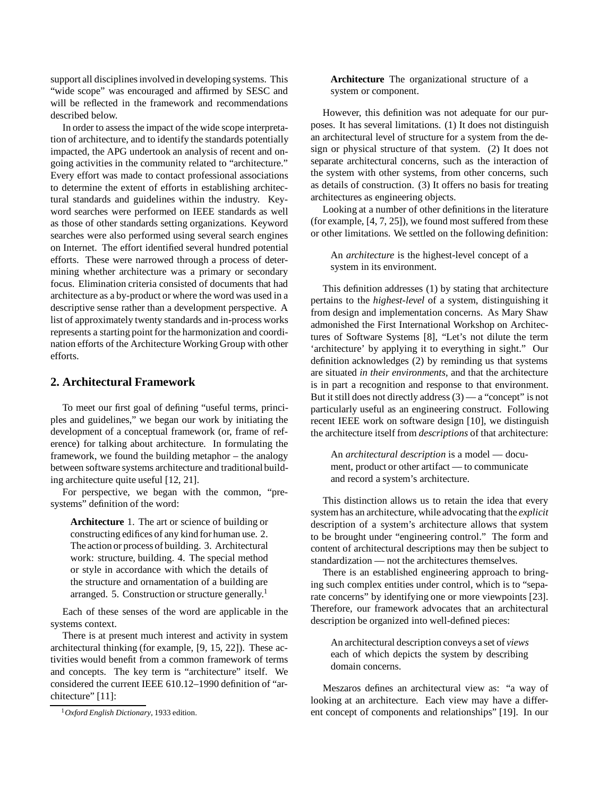support all disciplines involved in developing systems. This "wide scope" was encouraged and affirmed by SESC and will be reflected in the framework and recommendations described below.

In order to assess the impact of the wide scope interpretation of architecture, and to identify the standards potentially impacted, the APG undertook an analysis of recent and ongoing activities in the community related to "architecture." Every effort was made to contact professional associations to determine the extent of efforts in establishing architectural standards and guidelines within the industry. Keyword searches were performed on IEEE standards as well as those of other standards setting organizations. Keyword searches were also performed using several search engines on Internet. The effort identified several hundred potential efforts. These were narrowed through a process of determining whether architecture was a primary or secondary focus. Elimination criteria consisted of documents that had architecture as a by-product or where the word was used in a descriptive sense rather than a development perspective. A list of approximately twenty standards and in-process works represents a starting point for the harmonization and coordination efforts of the Architecture Working Group with other efforts.

# **2. Architectural Framework**

To meet our first goal of defining "useful terms, principles and guidelines," we began our work by initiating the development of a conceptual framework (or, frame of reference) for talking about architecture. In formulating the framework, we found the building metaphor – the analogy between software systems architecture and traditional building architecture quite useful [12, 21].

For perspective, we began with the common, "presystems" definition of the word:

**Architecture** 1. The art or science of building or constructing edifices of any kind for human use. 2. The action or process of building. 3. Architectural work: structure, building. 4. The special method or style in accordance with which the details of the structure and ornamentation of a building are arranged. 5. Construction or structure generally.<sup>1</sup>

Each of these senses of the word are applicable in the systems context.

There is at present much interest and activity in system architectural thinking (for example, [9, 15, 22]). These activities would benefit from a common framework of terms and concepts. The key term is "architecture" itself. We considered the current IEEE 610.12–1990 definition of "architecture" [11]:

**Architecture** The organizational structure of a system or component.

However, this definition was not adequate for our purposes. It has several limitations. (1) It does not distinguish an architectural level of structure for a system from the design or physical structure of that system. (2) It does not separate architectural concerns, such as the interaction of the system with other systems, from other concerns, such as details of construction. (3) It offers no basis for treating architectures as engineering objects.

Looking at a number of other definitions in the literature (for example, [4, 7, 25]), we found most suffered from these or other limitations. We settled on the following definition:

An *architecture* is the highest-level concept of a system in its environment.

This definition addresses (1) by stating that architecture pertains to the *highest-level* of a system, distinguishing it from design and implementation concerns. As Mary Shaw admonished the First International Workshop on Architectures of Software Systems [8], "Let's not dilute the term 'architecture' by applying it to everything in sight." Our definition acknowledges (2) by reminding us that systems are situated *in their environments*, and that the architecture is in part a recognition and response to that environment. But it still does not directly address  $(3)$  — a "concept" is not particularly useful as an engineering construct. Following recent IEEE work on software design [10], we distinguish the architecture itself from *descriptions* of that architecture:

An *architectural description* is a model — document, product or other artifact — to communicate and record a system's architecture.

This distinction allows us to retain the idea that every system has an architecture, while advocating that the *explicit* description of a system's architecture allows that system to be brought under "engineering control." The form and content of architectural descriptions may then be subject to standardization — not the architectures themselves.

There is an established engineering approach to bringing such complex entities under control, which is to "separate concerns" by identifying one or more viewpoints [23]. Therefore, our framework advocates that an architectural description be organized into well-defined pieces:

An architectural description conveys a set of *views* each of which depicts the system by describing domain concerns.

Meszaros defines an architectural view as: "a way of looking at an architecture. Each view may have a different concept of components and relationships" [19]. In our

<sup>1</sup>*Oxford English Dictionary*, 1933 edition.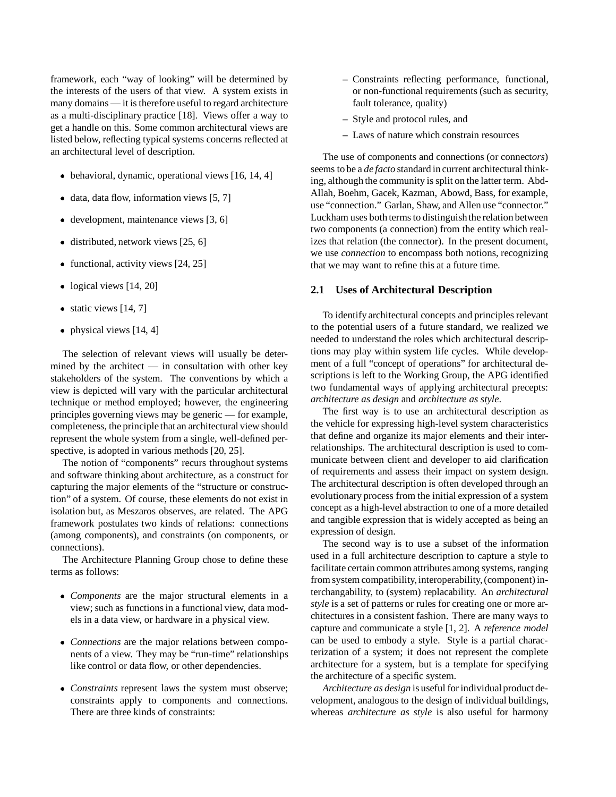framework, each "way of looking" will be determined by the interests of the users of that view. A system exists in many domains — it is therefore useful to regard architecture as a multi-disciplinary practice [18]. Views offer a way to get a handle on this. Some common architectural views are listed below, reflecting typical systems concerns reflected at an architectural level of description.

- behavioral, dynamic, operational views [16, 14, 4]
- $\bullet$  data, data flow, information views [5, 7]
- development, maintenance views [3, 6]
- $\bullet$  distributed, network views [25, 6]
- functional, activity views [24, 25]
- logical views [14, 20]
- $\bullet$  static views [14, 7]
- physical views [14, 4]

The selection of relevant views will usually be determined by the architect  $-$  in consultation with other key stakeholders of the system. The conventions by which a view is depicted will vary with the particular architectural technique or method employed; however, the engineering principles governing views may be generic — for example, completeness, the principle that an architectural view should represent the whole system from a single, well-defined perspective, is adopted in various methods [20, 25].

The notion of "components" recurs throughout systems and software thinking about architecture, as a construct for capturing the major elements of the "structure or construction" of a system. Of course, these elements do not exist in isolation but, as Meszaros observes, are related. The APG framework postulates two kinds of relations: connections (among components), and constraints (on components, or connections).

The Architecture Planning Group chose to define these terms as follows:

- *Components* are the major structural elements in a view; such as functions in a functional view, data models in a data view, or hardware in a physical view.
- *Connections* are the major relations between components of a view. They may be "run-time" relationships like control or data flow, or other dependencies.
- *Constraints* represent laws the system must observe; constraints apply to components and connections. There are three kinds of constraints:
- **–** Constraints reflecting performance, functional, or non-functional requirements (such as security, fault tolerance, quality)
- **–** Style and protocol rules, and
- **–** Laws of nature which constrain resources

The use of components and connections (or connect*ors*) seems to be a *de facto* standard in current architectural thinking, although the community is split on the latter term. Abd-Allah, Boehm, Gacek, Kazman, Abowd, Bass, for example, use "connection." Garlan, Shaw, and Allen use "connector." Luckham uses both terms to distinguishthe relation between two components (a connection) from the entity which realizes that relation (the connector). In the present document, we use *connection* to encompass both notions, recognizing that we may want to refine this at a future time.

#### **2.1 Uses of Architectural Description**

To identify architectural concepts and principles relevant to the potential users of a future standard, we realized we needed to understand the roles which architectural descriptions may play within system life cycles. While development of a full "concept of operations" for architectural descriptions is left to the Working Group, the APG identified two fundamental ways of applying architectural precepts: *architecture as design* and *architecture as style*.

The first way is to use an architectural description as the vehicle for expressing high-level system characteristics that define and organize its major elements and their interrelationships. The architectural description is used to communicate between client and developer to aid clarification of requirements and assess their impact on system design. The architectural description is often developed through an evolutionary process from the initial expression of a system concept as a high-level abstraction to one of a more detailed and tangible expression that is widely accepted as being an expression of design.

The second way is to use a subset of the information used in a full architecture description to capture a style to facilitate certain common attributes among systems, ranging from system compatibility, interoperability, (component) interchangability, to (system) replacability. An *architectural style* is a set of patterns or rules for creating one or more architectures in a consistent fashion. There are many ways to capture and communicate a style [1, 2]. A *reference model* can be used to embody a style. Style is a partial characterization of a system; it does not represent the complete architecture for a system, but is a template for specifying the architecture of a specific system.

*Architecture as design* is useful for individual product development, analogous to the design of individual buildings, whereas *architecture as style* is also useful for harmony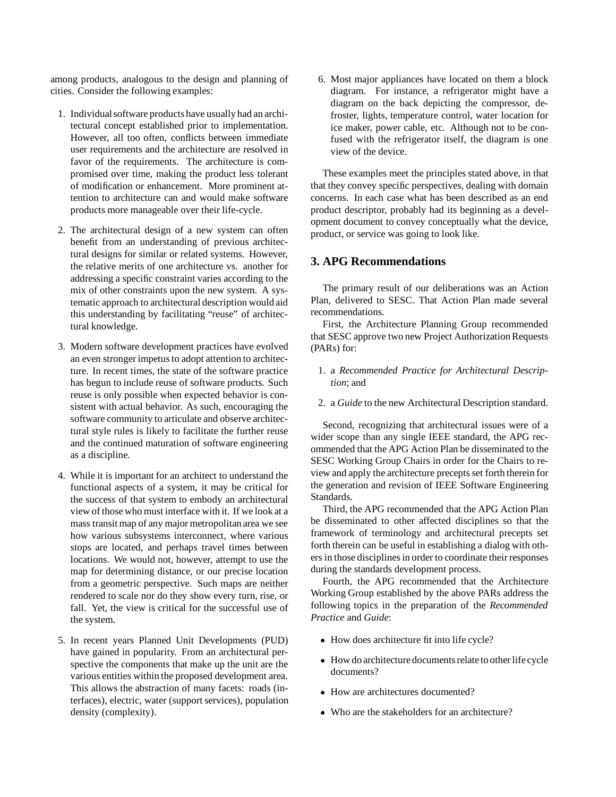among products, analogous to the design and planning of cities. Consider the following examples:

- 1. Individual software products have usually had an architectural concept established prior to implementation. However, all too often, conflicts between immediate user requirements and the architecture are resolved in favor of the requirements. The architecture is compromised over time, making the product less tolerant of modification or enhancement. More prominent attention to architecture can and would make software products more manageable over their life-cycle.
- 2. The architectural design of a new system can often benefit from an understanding of previous architectural designs for similar or related systems. However, the relative merits of one architecture vs. another for addressing a specific constraint varies according to the mix of other constraints upon the new system. A systematic approach to architectural description would aid this understanding by facilitating "reuse" of architectural knowledge.
- 3. Modern software development practices have evolved an even stronger impetus to adopt attention to architecture. In recent times, the state of the software practice has begun to include reuse of software products. Such reuse is only possible when expected behavior is consistent with actual behavior. As such, encouraging the software community to articulate and observe architectural style rules is likely to facilitate the further reuse and the continued maturation of software engineering as a discipline.
- 4. While it is important for an architect to understand the functional aspects of a system, it may be critical for the success of that system to embody an architectural view of those who must interface with it. If we look at a mass transit map of any major metropolitan area we see how various subsystems interconnect, where various stops are located, and perhaps travel times between locations. We would not, however, attempt to use the map for determining distance, or our precise location from a geometric perspective. Such maps are neither rendered to scale nor do they show every turn, rise, or fall. Yet, the view is critical for the successful use of the system.
- 5. In recent years Planned Unit Developments (PUD) have gained in popularity. From an architectural perspective the components that make up the unit are the various entities within the proposed development area. This allows the abstraction of many facets: roads (interfaces), electric, water (support services), population density (complexity).

6. Most major appliances have located on them a block diagram. For instance, a refrigerator might have a diagram on the back depicting the compressor, defroster, lights, temperature control, water location for ice maker, power cable, etc. Although not to be confused with the refrigerator itself, the diagram is one view of the device.

These examples meet the principles stated above, in that that they convey specific perspectives, dealing with domain concerns. In each case what has been described as an end product descriptor, probably had its beginning as a development document to convey conceptually what the device, product, or service was going to look like.

# **3. APG Recommendations**

The primary result of our deliberations was an Action Plan, delivered to SESC. That Action Plan made several recommendations.

First, the Architecture Planning Group recommended that SESC approve two new Project Authorization Requests (PARs) for:

- 1. a *Recommended Practice for Architectural Description*; and
- 2. a *Guide* to the new Architectural Description standard.

Second, recognizing that architectural issues were of a wider scope than any single IEEE standard, the APG recommended that the APG Action Plan be disseminated to the SESC Working Group Chairs in order for the Chairs to review and apply the architecture precepts set forth therein for the generation and revision of IEEE Software Engineering Standards.

Third, the APG recommended that the APG Action Plan be disseminated to other affected disciplines so that the framework of terminology and architectural precepts set forth therein can be useful in establishing a dialog with others in those disciplines in order to coordinate their responses during the standards development process.

Fourth, the APG recommended that the Architecture Working Group established by the above PARs address the following topics in the preparation of the *Recommended Practice* and *Guide*:

- How does architecture fit into life cycle?
- How do architecture documents relate to other life cycle documents?
- How are architectures documented?
- Who are the stakeholders for an architecture?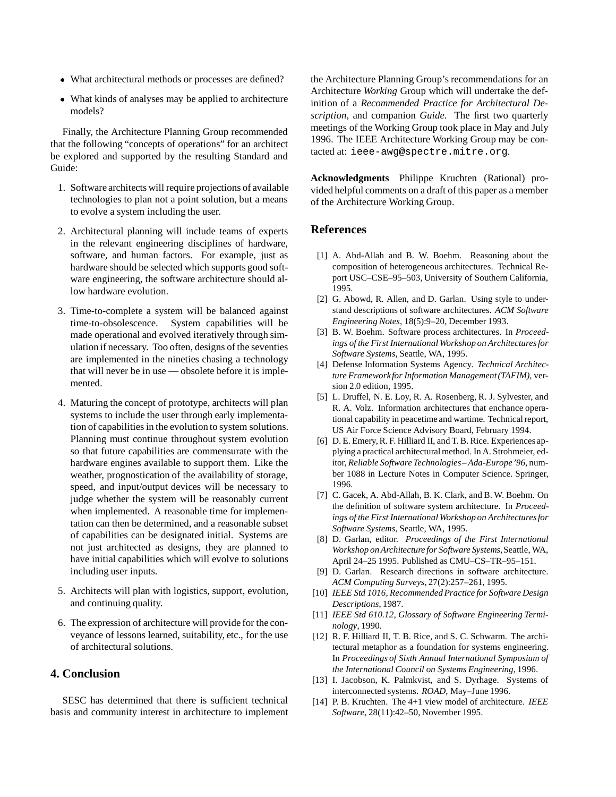- What architectural methods or processes are defined?
- What kinds of analyses may be applied to architecture models?

Finally, the Architecture Planning Group recommended that the following "concepts of operations" for an architect be explored and supported by the resulting Standard and Guide:

- 1. Software architects will require projections of available technologies to plan not a point solution, but a means to evolve a system including the user.
- 2. Architectural planning will include teams of experts in the relevant engineering disciplines of hardware, software, and human factors. For example, just as hardware should be selected which supports good software engineering, the software architecture should allow hardware evolution.
- 3. Time-to-complete a system will be balanced against time-to-obsolescence. System capabilities will be made operational and evolved iteratively through simulation if necessary. Too often, designs of the seventies are implemented in the nineties chasing a technology that will never be in use — obsolete before it is implemented.
- 4. Maturing the concept of prototype, architects will plan systems to include the user through early implementation of capabilities in the evolution to system solutions. Planning must continue throughout system evolution so that future capabilities are commensurate with the hardware engines available to support them. Like the weather, prognostication of the availability of storage, speed, and input/output devices will be necessary to judge whether the system will be reasonably current when implemented. A reasonable time for implementation can then be determined, and a reasonable subset of capabilities can be designated initial. Systems are not just architected as designs, they are planned to have initial capabilities which will evolve to solutions including user inputs.
- 5. Architects will plan with logistics, support, evolution, and continuing quality.
- 6. The expression of architecture will provide for the conveyance of lessons learned, suitability, etc., for the use of architectural solutions.

### **4. Conclusion**

SESC has determined that there is sufficient technical basis and community interest in architecture to implement the Architecture Planning Group's recommendations for an Architecture *Working* Group which will undertake the definition of a *Recommended Practice for Architectural Description*, and companion *Guide*. The first two quarterly meetings of the Working Group took place in May and July 1996. The IEEE Architecture Working Group may be contacted at: ieee-awg@spectre.mitre.org.

**Acknowledgments** Philippe Kruchten (Rational) provided helpful comments on a draft of this paper as a member of the Architecture Working Group.

#### **References**

- [1] A. Abd-Allah and B. W. Boehm. Reasoning about the composition of heterogeneous architectures. Technical Report USC–CSE–95–503, University of Southern California, 1995.
- [2] G. Abowd, R. Allen, and D. Garlan. Using style to understand descriptions of software architectures. *ACM Software Engineering Notes*, 18(5):9–20, December 1993.
- [3] B. W. Boehm. Software process architectures. In *Proceedings of the First International Workshop on Architecturesfor Software Systems*, Seattle, WA, 1995.
- [4] Defense Information Systems Agency. *Technical Architecture Frameworkfor Information Management(TAFIM)*, version 2.0 edition, 1995.
- [5] L. Druffel, N. E. Loy, R. A. Rosenberg, R. J. Sylvester, and R. A. Volz. Information architectures that enchance operational capability in peacetime and wartime. Technical report, US Air Force Science Advisory Board, February 1994.
- [6] D. E. Emery, R. F. Hilliard II, and T. B. Rice. Experiences applying a practical architectural method. In A. Strohmeier, editor, *Reliable Software Technologies– Ada-Europe'96*, number 1088 in Lecture Notes in Computer Science. Springer, 1996.
- [7] C. Gacek, A. Abd-Allah, B. K. Clark, and B. W. Boehm. On the definition of software system architecture. In *Proceedings of the First International Workshop on Architecturesfor Software Systems*, Seattle, WA, 1995.
- [8] D. Garlan, editor. *Proceedings of the First International Workshop on Architecture for Software Systems*,Seattle, WA, April 24–25 1995. Published as CMU–CS–TR–95–151.
- [9] D. Garlan. Research directions in software architecture. *ACM Computing Surveys*, 27(2):257–261, 1995.
- [10] *IEEE Std 1016, Recommended Practice for Software Design Descriptions*, 1987.
- [11] *IEEE Std 610.12, Glossary of Software Engineering Terminology*, 1990.
- [12] R. F. Hilliard II, T. B. Rice, and S. C. Schwarm. The architectural metaphor as a foundation for systems engineering. In *Proceedings of Sixth Annual International Symposium of the International Council on Systems Engineering*, 1996.
- [13] I. Jacobson, K. Palmkvist, and S. Dyrhage. Systems of interconnected systems. *ROAD*, May–June 1996.
- [14] P. B. Kruchten. The 4+1 view model of architecture. *IEEE Software*, 28(11):42–50, November 1995.